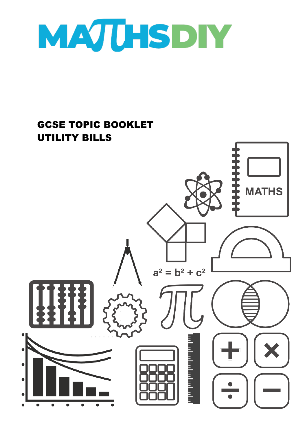

## GCSE TOPIC BOOKLET UTILITY BILLS**MATHS**  $a^2 = b^2 + c^2$ a katalunian pengunju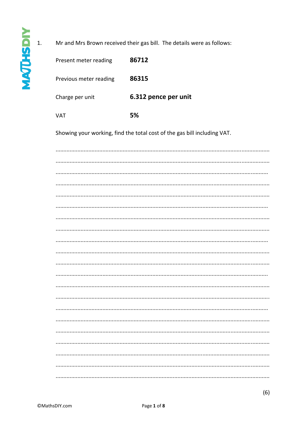$1.$ 

| Mr and Mrs Brown received their gas bill. The details were as follows: |                                                                          |  |
|------------------------------------------------------------------------|--------------------------------------------------------------------------|--|
| Present meter reading                                                  | 86712                                                                    |  |
| Previous meter reading                                                 | 86315                                                                    |  |
| Charge per unit                                                        | 6.312 pence per unit                                                     |  |
| <b>VAT</b>                                                             | 5%                                                                       |  |
|                                                                        | Showing your working, find the total cost of the gas bill including VAT. |  |
|                                                                        |                                                                          |  |
|                                                                        |                                                                          |  |
|                                                                        |                                                                          |  |
|                                                                        |                                                                          |  |
|                                                                        |                                                                          |  |
|                                                                        |                                                                          |  |
|                                                                        |                                                                          |  |
|                                                                        |                                                                          |  |
|                                                                        |                                                                          |  |
|                                                                        |                                                                          |  |
|                                                                        |                                                                          |  |
|                                                                        |                                                                          |  |
|                                                                        |                                                                          |  |
|                                                                        |                                                                          |  |
|                                                                        |                                                                          |  |
|                                                                        |                                                                          |  |
|                                                                        |                                                                          |  |
|                                                                        |                                                                          |  |
|                                                                        |                                                                          |  |
|                                                                        |                                                                          |  |
|                                                                        |                                                                          |  |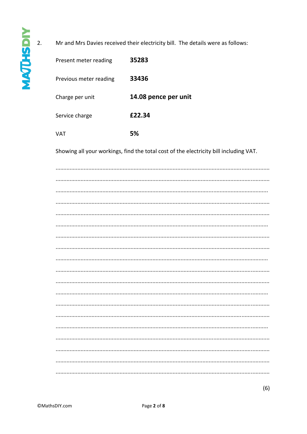Present meter reading

Previous meter reading 33436 14.08 pence per unit Charge per unit £22.34 Service charge **VAT** 5% Showing all your workings, find the total cost of the electricity bill including VAT. 

Mr and Mrs Davies received their electricity bill. The details were as follows:

35283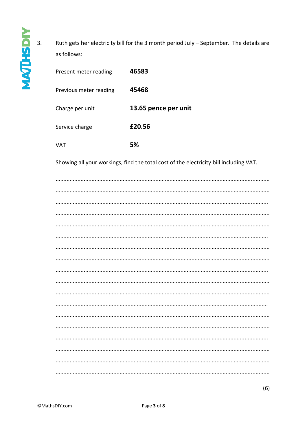Ruth gets her electricity bill for the 3 month period July - September. The details are as follows:

| Present meter reading  | 46583                |
|------------------------|----------------------|
| Previous meter reading | 45468                |
| Charge per unit        | 13.65 pence per unit |
| Service charge         | £20.56               |
| VAT                    | 5%                   |

Showing all your workings, find the total cost of the electricity bill including VAT.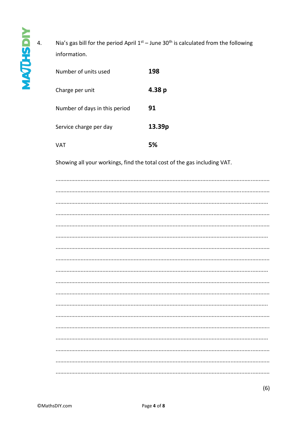Nia's gas bill for the period April  $1^{st}$  – June 30<sup>th</sup> is calculated from the following information.

| Number of units used          | 198    |
|-------------------------------|--------|
| Charge per unit               | 4.38 p |
| Number of days in this period | 91     |
| Service charge per day        | 13.39p |
| VAT                           | 5%     |

Showing all your workings, find the total cost of the gas including VAT.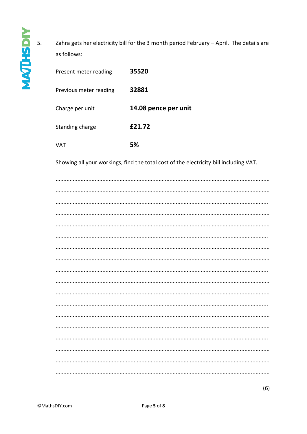Zahra gets her electricity bill for the 3 month period February - April. The details are as follows:

| Present meter reading  | 35520                |
|------------------------|----------------------|
| Previous meter reading | 32881                |
| Charge per unit        | 14.08 pence per unit |
| Standing charge        | £21.72               |
| VAT                    | 5%                   |

Showing all your workings, find the total cost of the electricity bill including VAT.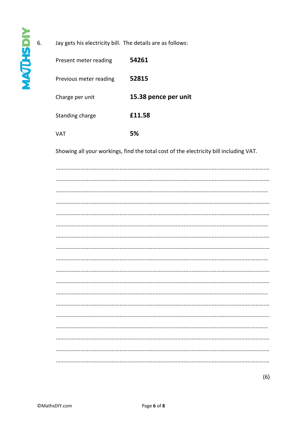Jay gets his electricity bill. The details are as follows:

| Present meter reading  | 54261                |
|------------------------|----------------------|
| Previous meter reading | 52815                |
| Charge per unit        | 15.38 pence per unit |
| Standing charge        | £11.58               |
| VAT                    | 5%                   |

Showing all your workings, find the total cost of the electricity bill including VAT.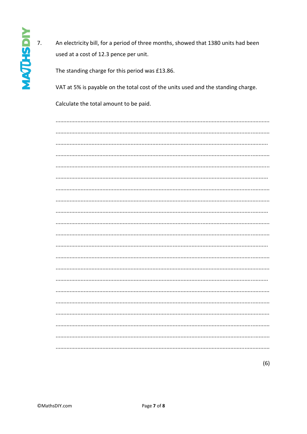$\overline{7}$ . An electricity bill, for a period of three months, showed that 1380 units had been used at a cost of 12.3 pence per unit.

The standing charge for this period was £13.86.

VAT at 5% is payable on the total cost of the units used and the standing charge.

Calculate the total amount to be paid.